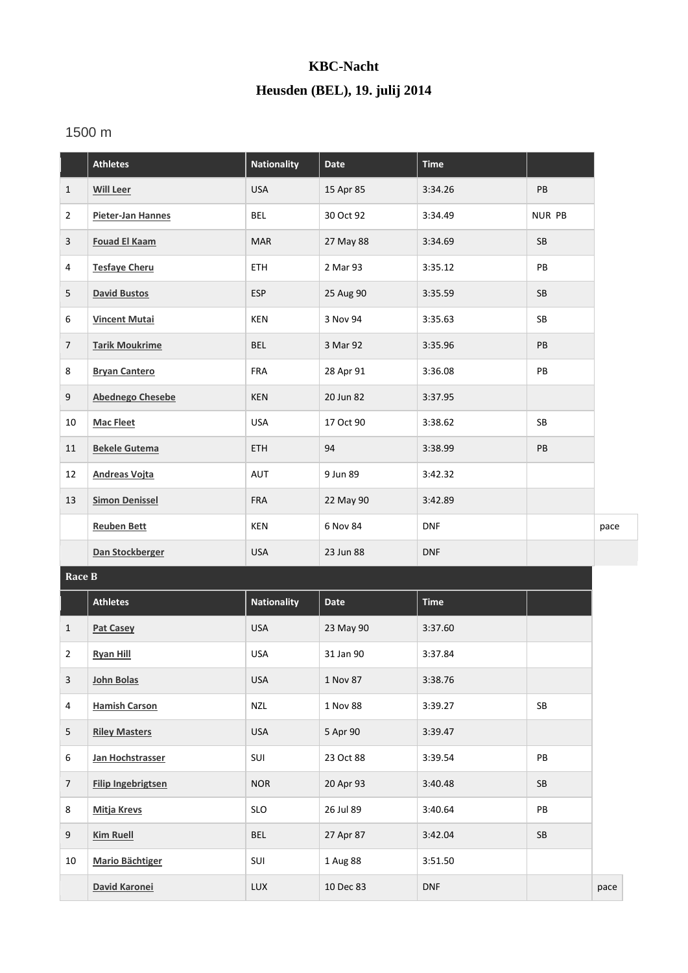## **KBC-Nacht Heusden (BEL), 19. julij 2014**

## 1500 m

|                | <b>Athletes</b>           | <b>Nationality</b> | <b>Date</b> | <b>Time</b> |               |      |
|----------------|---------------------------|--------------------|-------------|-------------|---------------|------|
| $\mathbf{1}$   | <b>Will Leer</b>          | <b>USA</b>         | 15 Apr 85   | 3:34.26     | PB            |      |
| $\overline{2}$ | Pieter-Jan Hannes         | BEL                | 30 Oct 92   | 3:34.49     | <b>NUR PB</b> |      |
| 3              | <b>Fouad El Kaam</b>      | <b>MAR</b>         | 27 May 88   | 3:34.69     | SB            |      |
| 4              | <b>Tesfaye Cheru</b>      | ETH                | 2 Mar 93    | 3:35.12     | PB            |      |
| 5              | <b>David Bustos</b>       | <b>ESP</b>         | 25 Aug 90   | 3:35.59     | SB            |      |
| 6              | <b>Vincent Mutai</b>      | <b>KEN</b>         | 3 Nov 94    | 3:35.63     | SB            |      |
| $\overline{7}$ | <b>Tarik Moukrime</b>     | <b>BEL</b>         | 3 Mar 92    | 3:35.96     | PB            |      |
| 8              | <b>Bryan Cantero</b>      | <b>FRA</b>         | 28 Apr 91   | 3:36.08     | ${\sf PB}$    |      |
| 9              | <b>Abednego Chesebe</b>   | KEN                | 20 Jun 82   | 3:37.95     |               |      |
| 10             | <b>Mac Fleet</b>          | <b>USA</b>         | 17 Oct 90   | 3:38.62     | SB            |      |
| 11             | <b>Bekele Gutema</b>      | ETH                | 94          | 3:38.99     | PB            |      |
| 12             | <b>Andreas Vojta</b>      | AUT                | 9 Jun 89    | 3:42.32     |               |      |
| 13             | <b>Simon Denissel</b>     | <b>FRA</b>         | 22 May 90   | 3:42.89     |               |      |
|                | <b>Reuben Bett</b>        | <b>KEN</b>         | 6 Nov 84    | <b>DNF</b>  |               | pace |
|                | Dan Stockberger           | <b>USA</b>         | 23 Jun 88   | <b>DNF</b>  |               |      |
| Race B         |                           |                    |             |             |               |      |
|                | <b>Athletes</b>           | <b>Nationality</b> | Date        | <b>Time</b> |               |      |
| $\mathbf{1}$   | <b>Pat Casey</b>          | <b>USA</b>         | 23 May 90   | 3:37.60     |               |      |
| $\overline{2}$ | <b>Ryan Hill</b>          | <b>USA</b>         | 31 Jan 90   | 3:37.84     |               |      |
| $\mathbf{3}$   | <b>John Bolas</b>         | <b>USA</b>         | 1 Nov 87    | 3:38.76     |               |      |
| 4              | <b>Hamish Carson</b>      | NZL                | 1 Nov 88    | 3:39.27     | ${\sf SB}$    |      |
| 5              | <b>Riley Masters</b>      | USA                | 5 Apr 90    | 3:39.47     |               |      |
| 6              | Jan Hochstrasser          | SUI                | 23 Oct 88   | 3:39.54     | PB            |      |
| $\overline{7}$ | <b>Filip Ingebrigtsen</b> | <b>NOR</b>         | 20 Apr 93   | 3:40.48     | SB            |      |
| 8              | <b>Mitja Krevs</b>        | SLO                | 26 Jul 89   | 3:40.64     | PB            |      |
| 9              | <b>Kim Ruell</b>          | <b>BEL</b>         | 27 Apr 87   | 3:42.04     | SB            |      |
| 10             | <b>Mario Bächtiger</b>    | SUI                | 1 Aug 88    | 3:51.50     |               |      |
|                | David Karonei             | LUX                | 10 Dec 83   | <b>DNF</b>  |               | pace |